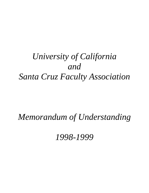# *University of California and Santa Cruz Faculty Association*

## *Memorandum of Understanding*

*1998-1999*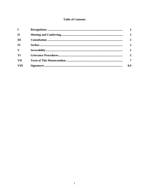#### **Table of Contents**

| $\mathbf{I}$ | $\mathbf{2}$   |
|--------------|----------------|
| $\mathbf{H}$ | $\overline{2}$ |
| Ш            | 5              |
| IV           | 5              |
| V            | 5              |
| <b>VI</b>    | 5              |
| VII          | $\overline{7}$ |
| <b>VIII</b>  | 8,9            |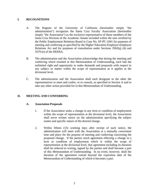#### **I. RECOGNITIONS**

- A. The Regents of the University of California (hereinafter simply "the administration") recognizes the Santa Cruz Faculty Association (hereinafter simply "the Association") as the exclusive representative of those members of the Santa Cruz Division of the Academic Senate included within the unit certified by the Public Employment Relations Board in Case No. SF-PC-1041 for purposes of meeting and conferring as specified by the Higher Education Employer-Employee Relations Act and for purposes of consultation under Sections 3562(q) (4) and 3579 (e) of the HEERA.
- B. The administration and the Association acknowledge that during the meeting and conferring which resulted in this Memorandum of Understanding, each had the unlimited right and opportunity to make demands and proposals with respect to any subject or matter within the scope of representation as it applies at the divisional level.
- C. The administration and the Association shall each designate to the other the representatives to meet and confer, or to consult, as specified in Section A and to take any other action provided for in this Memorandum of Understanding.

#### **II. MEETING AND CONFERRING**

#### **A. Association Proposals**

- 1. If the Association seeks a change in any term or condition of employment within the scope of representation at the divisional level, the Association shall serve written notice on the administration specifying the subject matter and specific nature of the desired change.
- 2. Within fifteen (15) working days after receipt of such notice, the administration will meet with the Association at a mutually convenient time and place for the purpose of meeting and conferring concerning the proposed change. If the parties reach agreement effecting a change in a term or condition of employment which is within the scope of representation at the divisional level, that agreement including its duration shall be reduced to writing, signed by the parties and shall become a part of this Memorandum of Understanding. In no event, however, shall the duration of the agreement extend beyond the expiration date of the Memorandum of Understanding of which it becomes a part.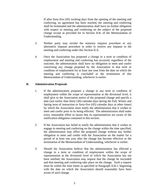If after forty-five (45) working days from the opening of the meeting and conferring, no agreement has been reached, the meeting and conferring shall be terminated and the administration shall have no further obligation with respect to meeting and conferring on the subject of the proposed change except as provided for in Section II.B. of the Memorandum of Understanding.

- 3. Neither party may invoke the statutory impasse procedure or any alternative impasse procedure in order to resolve any impasse in the meeting and conferring under this Section II.A.
- 4. Once the Association has proposed a change in a term or condition of employment and meeting and conferring has occurred, regardless of the outcome, the administration shall have no obligation to meet and confer concerning any change proposed by the Association in that term or condition of employment for at least one year from the date on which the meeting and conferring is concluded or the termination of this Memorandum of Understanding, whichever is earlier.

#### **B. Administration Proposals**

- 1. If the administration proposes a change in any term or condition of employment within the scope of representation at the divisional level, it shall give to the Association notice of the proposed change and specify a date (not earlier than thirty (30) calendar days during the Fall, Winter and Spring term of instruction or forty-five (45) calendar days at other times) by which the Association must notify the administration that it wishes to meet and confer prior to its being effected. The administration shall make every reasonable effort to insure that its representatives are aware of the notification obligation contained in this section.
- 2. If the Association has failed to notify the administration that it wishes to engage in meeting and conferring on the change within the time specified, the administration may effect the proposed change without any further obligation to meet and confer with the Association on the matter for a period of at least one year after the change has become effective or the termination of the Memorandum of Understanding, whichever is earlier.
- 3. Should the Association believe that the administration has effected a change in a term or condition of employment within the scope of representation at the divisional level of which the Association has not been notified, the Association may request that the change be rescinded and that meeting and conferring take place on the change. Such a request must be within the time limits as specified in Paragraph II.B.1. beginning with the date on which the Association should reasonably have been aware of such change.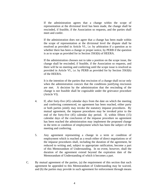If the administration agrees that a change within the scope of representation at the divisional level has been made, the change shall be rescinded, if feasible, if the Association so requests, and the parties shall meet and confer.

 If the administration does not agree that a change has been made within the scope of representation at the divisional level the dispute shall be resolved as provided in Article VI., i.e. by arbitration if a question as to whether there has been a change or proper notice, by PERB if the question is as to scope as provided for in Section 3563(b) of HEERA.

 If the administration chooses not to take a position on the scope issue, the change shall be rescinded, if feasible, if the Association so requests, and there will be no meeting and conferring until the scope issue is resolved as provided in Article VI., i.e. by PERB as provided for by Section 3563(b) of the HEERA.

 It is the intention of the parties that rescission of a change shall occur only when the administration concurs that the conditions justifying rescission are met. A decision by the administration that the rescinding of the change is not feasible shall be cognizable under the grievance procedure (Article VI).

- 4. If, after forty-five (45) calendar days from the date on which the meeting and conferring commenced, no agreement has been reached, either party or both parties jointly may invoke the statutory impasse procedures. By mutual agreement, the impasse procedures may be invoked prior to the end of the forty-five (45) calendar day period. If, within fifteen (15) calendar days of the conclusion of the impasse procedure no agreement has been reached the administration may implement the proposed change in the term or condition of employment which has been the subject of the meeting and conferring.
- 5. Any agreement representing a change in a term or condition of employment which is reached as a result either of direct negotiations or of the impasse procedures shall, including the duration of the agreement, be reduced to writing and, subject to appropriate ratification, become a part of this Memorandum of Understanding. In no event, however, shall the duration of the agreement extend beyond the expiration date of the Memorandum of Understanding of which it becomes a part.
- C. By mutual agreement of the parties, (a) the requirement of this section that such agreement be appended to this Memorandum of Understanding may be waived, and (b) the parties may provide in such agreement for enforcement through means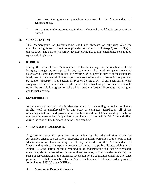other than the grievance procedure contained in the Memorandum of Understanding.

D. Any of the time limits contained in this article may be modified by consent of the parties.

#### **III. CONSULTATION**

This Memorandum of Understanding shall not abrogate or otherwise alter the consultation rights and obligations as provided for in Sections  $3562(q)(4)$  and  $3579(e)$  of the HEERA. The parties will jointly develop procedures to implement these consultation rights and obligations.

#### **IV. STRIKES**

During the term of this Memorandum of Understanding, the Association will not instigate, engage in, or support in any way any strike, work stoppage, concerted slowdown or other concerted refusal to perform work or provide service at the customary level, over any matters within the scope of representation and/or consultation as provided by Section 3562(q)(4) and Section 3579(e) of the HEERA. If any such strike, work stoppage, concerted slowdown or other concerted refusal to perform services should occur, the Association agrees to make all reasonable efforts to discourage and bring an end to such activity.

#### **V. SEVERABILITY**

In the event that any part of this Memorandum of Understanding is held to be illegal, invalid, void or unenforceable by any court of competent jurisdiction, all of the remaining conditions and provisions of this Memorandum of Understanding which are not rendered meaningless, inoperable or ambiguous shall remain in full force and effect during the term of this Memorandum of Understanding.

#### **VI. GRIEVANCE PROCEDURES**

A grievance under this procedure is an action by the administration which the Association alleges is a violation, misapplication or misinterpretation of the terms of this Memorandum of Understanding or of any addenda to this Memorandum of Understanding which are explicitly made a part thereof except that disputes arising under Article III, Consultation, of this Memorandum of Understanding shall not be cognizable under this grievance procedure. Disputes, disagreements, or controversies concerning the scope of representation at the divisional level shall not be cognizable under the grievance procedure, but shall be resolved by the Public Employment Relations Board as provided for in Section 3563(b) of the HEERA.

#### **A. Standing to Bring a Grievance**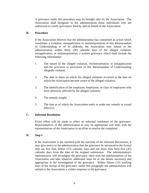A grievance under this procedure may be brought only by the Association. The Association shall designate to the administration those individuals who are authorized to certify grievances filed by and on behalf of the Association.

#### **B. Procedure**

If the Association believes that the administration has committed an action which constitutes a violation, misapplication or misinterpretation of this Memorandum of Understanding or of its addenda, the Association may submit to the administration, within thirty (30) calendar days of the alleged violation, misapplication, or misinterpretation, a written grievance which shall include the following information:

- 1. The nature of the alleged violation, misinterpretation or misapplication and the provision or provisions of this Memorandum of Understanding allegedly violated;
- 2. The date or dates on which the alleged violation occurred or the date on which the Association became aware of the alleged violation;
- 3. The identification of the employee, employees, or class of employees who were adversely affected by the alleged violation;
- 4. The remedy sought;
- 5. The date as of which the Association seeks to make any remedy or award effective.

#### **C. Informal Resolution**

Every effort will be made to effect an informal resolution of the grievance. Representatives of the administration as may be appropriate will meet with the representatives of the Association in an effort to resolve the complaint.

#### **D. Step I**

If the Association is not satisfied with the outcome of the informal discussions, it may give notice to the administration that the grievance be advanced to the formal step not less than fifteen (15) calendar days and not more than forty-five (45) calendar days from the date of the original submission. The administration's representative will investigate the grievance, meet with the representatives of the Association and take whatever additional steps he or she deems necessary and appropriate in the investigation of the grievance. Within fifteen (15) working days of the receipt of the grievance, under this paragraph, the administration will submit to the Association a written response to the grievance.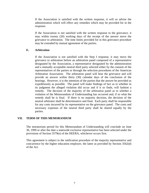If the Association is satisfied with the written response, it will so advise the administration which will effect any remedies which may be provided for in the response.

If the Association is not satisfied with the written response to the grievance, it may within twenty (20) working days of the receipt of the answer move the grievance to arbitration. The time limits provided for in this grievance procedure may be extended by mutual agreement of the parties.

#### **E. Arbitration**

If the Association is not satisfied with the Step I response, it may move the grievance to arbitration before an arbitration panel composed of a representative designated by the Association, a representative designated by the administration and a mutually acceptable neutral third party selected either by the consent of the representatives of the parties or through the selection procedures of the American Arbitration Association. The arbitration panel will hear the grievance and will provide an answer within thirty (30) calendar days of the conclusion of the hearings. However, it is the intention of the parties that the answer be provided as expeditiously as possible. The panel will make findings of fact as to whether in its judgment the alleged violation did occur and if it so finds, will fashion a remedy. The decision of the majority of the arbitration panel as to whether a violation of the Memorandum of Understanding has occurred and, if so what the remedy shall be is final. If there is no majority decision, the decision of the neutral arbitrator shall be determinative and final. Each party shall be responsible for any costs incurred by its representative on the grievance panel. The costs and necessary expenses of the neutral third party shall be shared equally by the parties.

#### **VII. TERM OF THIS MEMORANDUM**

The moratorium period for this Memorandum of Understanding will conclude on June 30, 1999 or after the date a statewide exclusive representative has been selected under the provisions of Section 3579(e) of the HEERA, whichever occurs first.

This agreement is subject to the ratification procedure of the majority representative and concurrence by the higher education employer, the latter as provided by Section 3562(d) of the Act.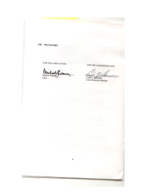VIII. SIGNATURES

FOR THE ASSOCIATION:

 $\bar{t}$ 

Michael Warren

FOR THE ADMINISTRATION:

Angle 1.112

 $\bf 8$